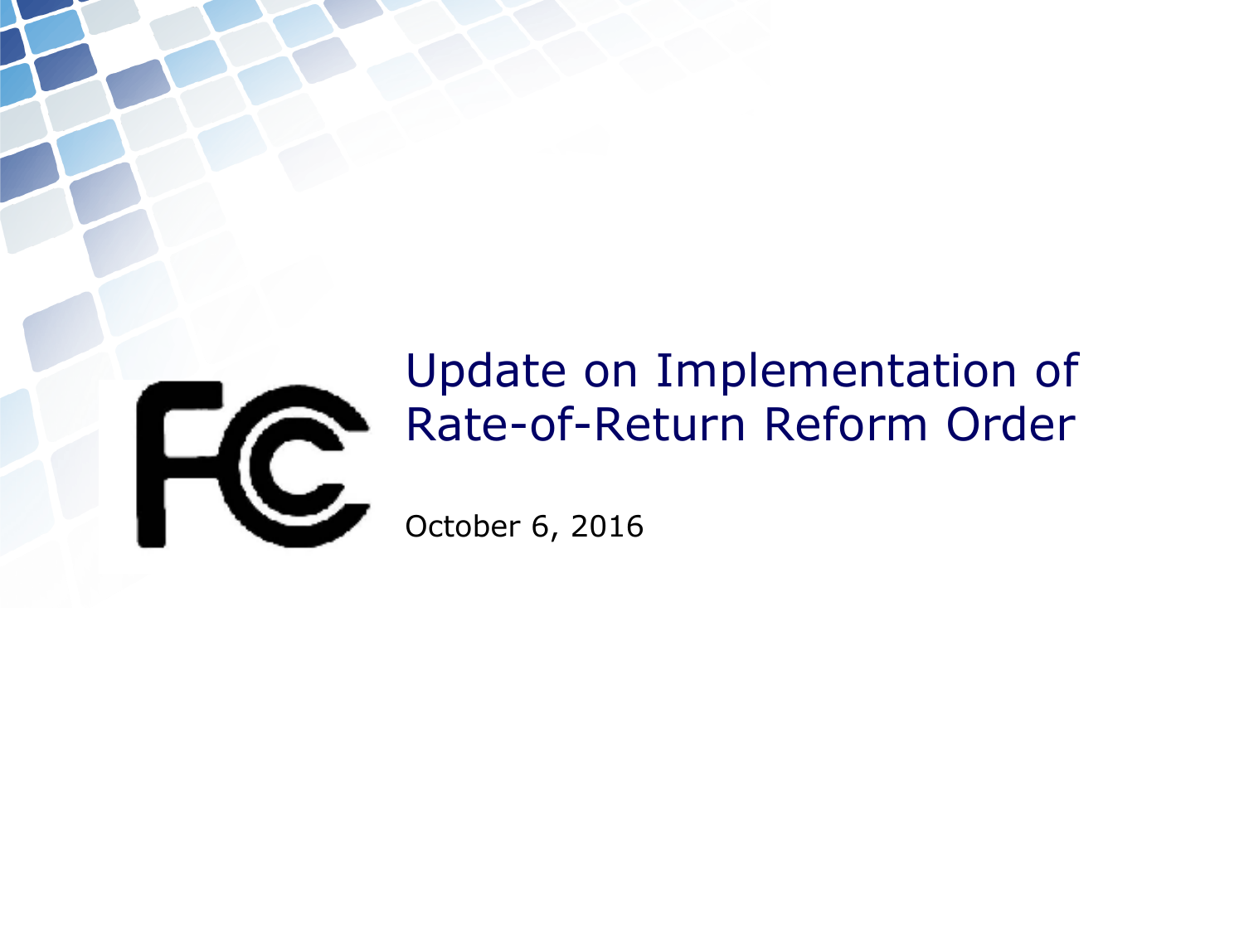

## Update on Implementation of Rate-of-Return Reform Order

October 6, 2016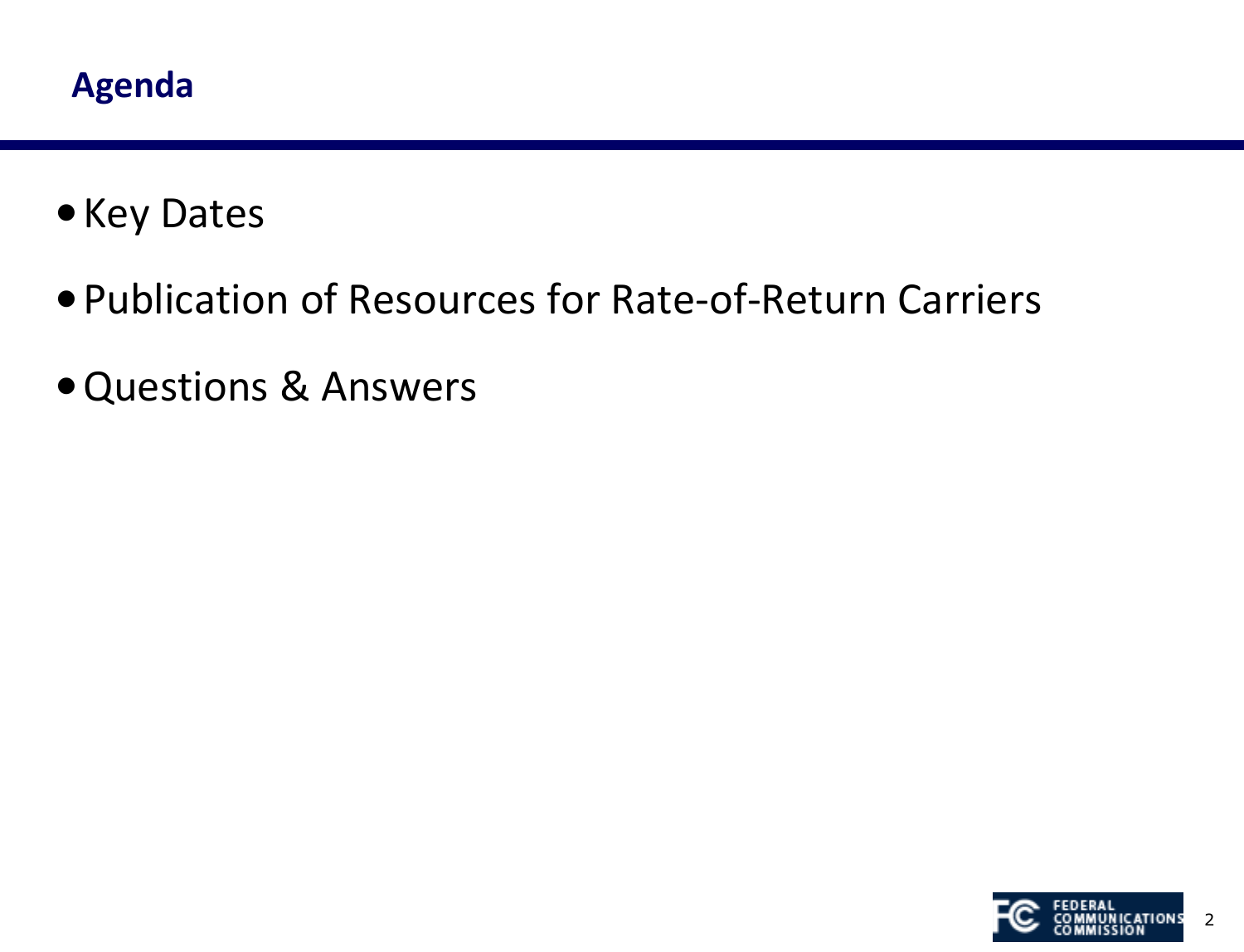- •Key Dates
- •Publication of Resources for Rate-of-Return Carriers
- •Questions & Answers

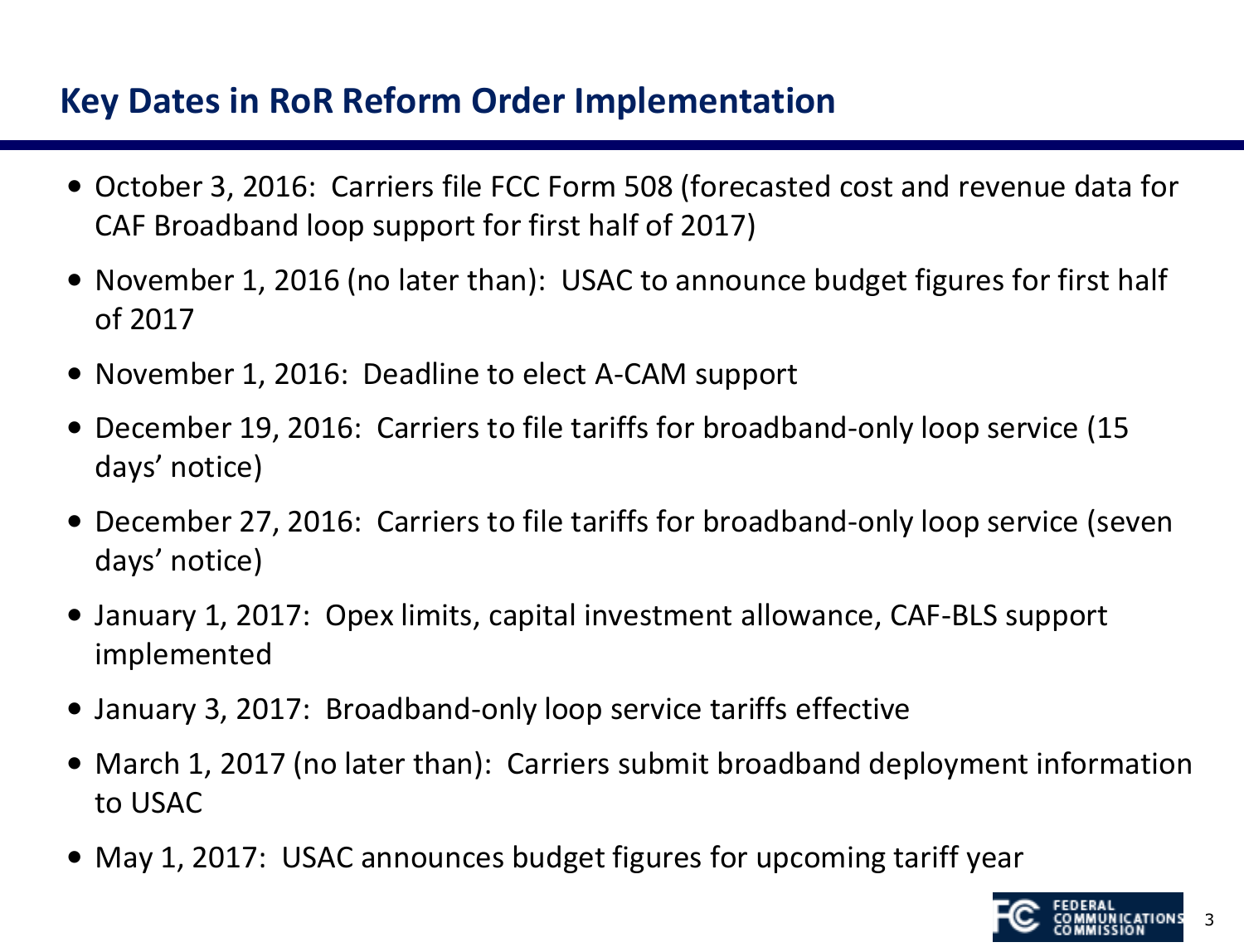## **Key Dates in RoR Reform Order Implementation**

- October 3, 2016: Carriers file FCC Form 508 (forecasted cost and revenue data for CAF Broadband loop support for first half of 2017)
- November 1, 2016 (no later than): USAC to announce budget figures for first half of 2017
- November 1, 2016: Deadline to elect A-CAM support
- December 19, 2016: Carriers to file tariffs for broadband-only loop service (15 days' notice)
- December 27, 2016: Carriers to file tariffs for broadband-only loop service (seven days' notice)
- January 1, 2017: Opex limits, capital investment allowance, CAF-BLS support implemented
- January 3, 2017: Broadband-only loop service tariffs effective
- March 1, 2017 (no later than): Carriers submit broadband deployment information to USAC
- May 1, 2017: USAC announces budget figures for upcoming tariff year

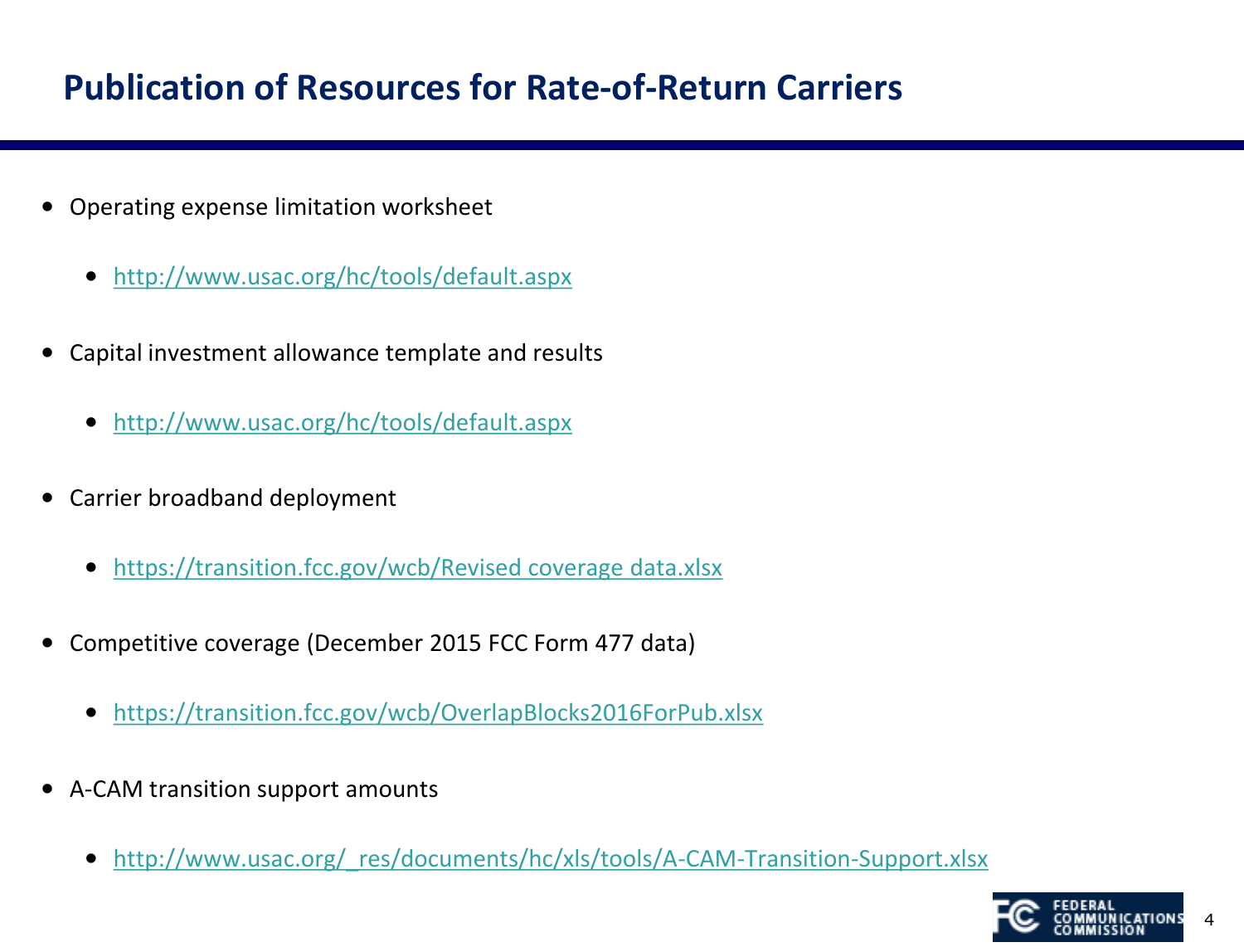## **Publication of Resources for Rate-of-Return Carriers**

- Operating expense limitation worksheet
	- <http://www.usac.org/hc/tools/default.aspx>
- Capital investment allowance template and results
	- <http://www.usac.org/hc/tools/default.aspx>
- Carrier broadband deployment
	- <https://transition.fcc.gov/wcb/Revised coverage data.xlsx>
- Competitive coverage (December 2015 FCC Form 477 data)
	- <https://transition.fcc.gov/wcb/OverlapBlocks2016ForPub.xlsx>
- A-CAM transition support amounts
	- http://www.usac.org/ res/documents/hc/xls/tools/A-CAM-Transition-Support.xlsx

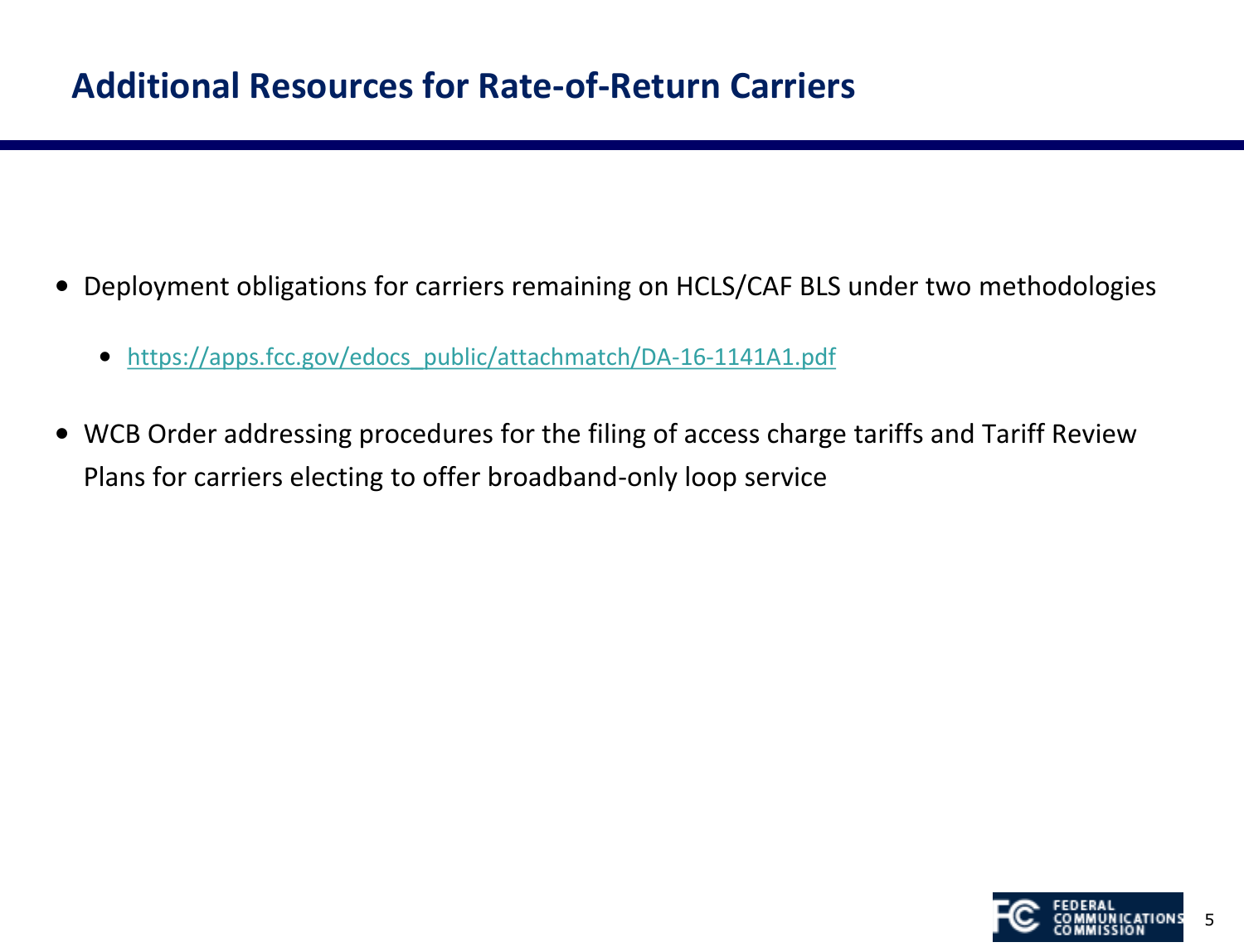- Deployment obligations for carriers remaining on HCLS/CAF BLS under two methodologies
	- [https://apps.fcc.gov/edocs\\_public/attachmatch/DA-16-1141A1.pdf](https://apps.fcc.gov/edocs_public/attachmatch/DA-16-1141A1.pdf)
- WCB Order addressing procedures for the filing of access charge tariffs and Tariff Review Plans for carriers electing to offer broadband-only loop service